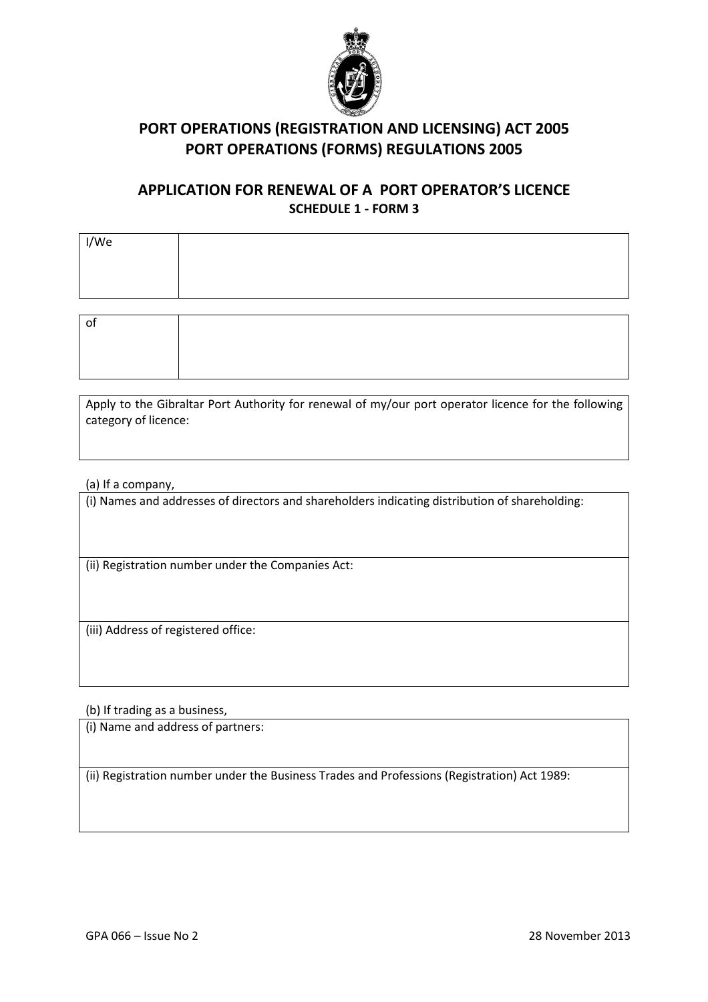

# PORT OPERATIONS (REGISTRATION AND LICENSING) ACT 2005 PORT OPERATIONS (FORMS) REGULATIONS 2005

### APPLICATION FOR RENEWAL OF A PORT OPERATOR'S LICENCE SCHEDULE 1 - FORM 3

| I/We |  |
|------|--|
|      |  |
|      |  |
|      |  |
| οf   |  |

Apply to the Gibraltar Port Authority for renewal of my/our port operator licence for the following category of licence:

(a) If a company,

(i) Names and addresses of directors and shareholders indicating distribution of shareholding:

(ii) Registration number under the Companies Act:

(iii) Address of registered office:

(b) If trading as a business,

(i) Name and address of partners:

(ii) Registration number under the Business Trades and Professions (Registration) Act 1989: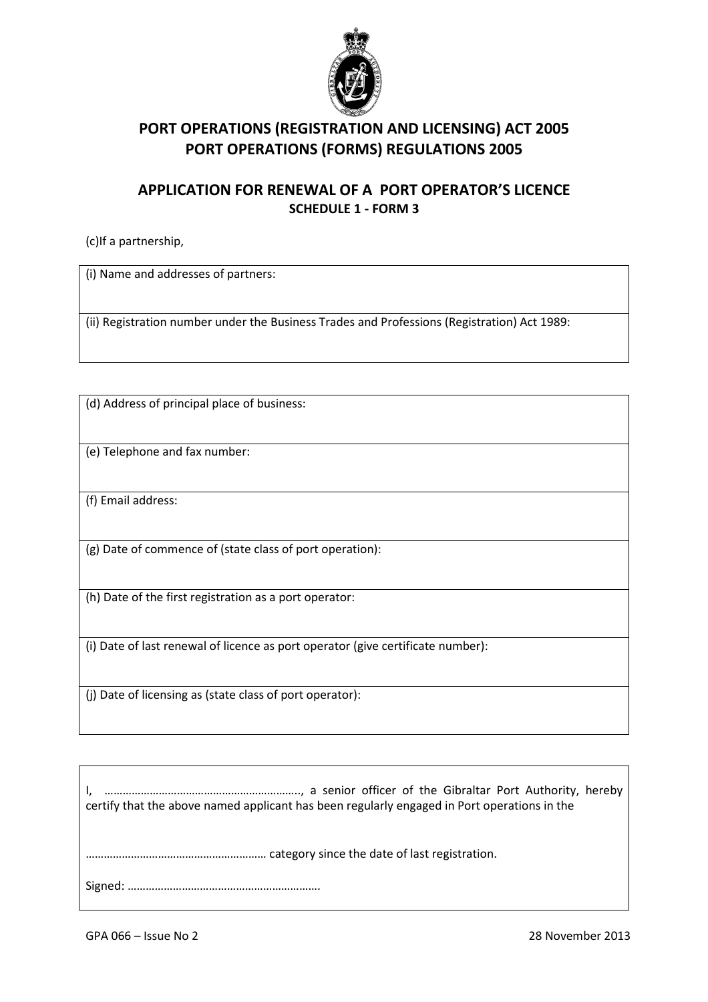

# PORT OPERATIONS (REGISTRATION AND LICENSING) ACT 2005 PORT OPERATIONS (FORMS) REGULATIONS 2005

#### APPLICATION FOR RENEWAL OF A PORT OPERATOR'S LICENCE SCHEDULE 1 - FORM 3

(c)If a partnership,

(i) Name and addresses of partners:

(ii) Registration number under the Business Trades and Professions (Registration) Act 1989:

(d) Address of principal place of business:

(e) Telephone and fax number:

(f) Email address:

(g) Date of commence of (state class of port operation):

(h) Date of the first registration as a port operator:

(i) Date of last renewal of licence as port operator (give certificate number):

(j) Date of licensing as (state class of port operator):

I, ……………………………………………………….., a senior officer of the Gibraltar Port Authority, hereby certify that the above named applicant has been regularly engaged in Port operations in the …………………………………………………… category since the date of last registration. Signed: ……………………………………………………….

GPA 066 – Issue No 2 28 November 2013